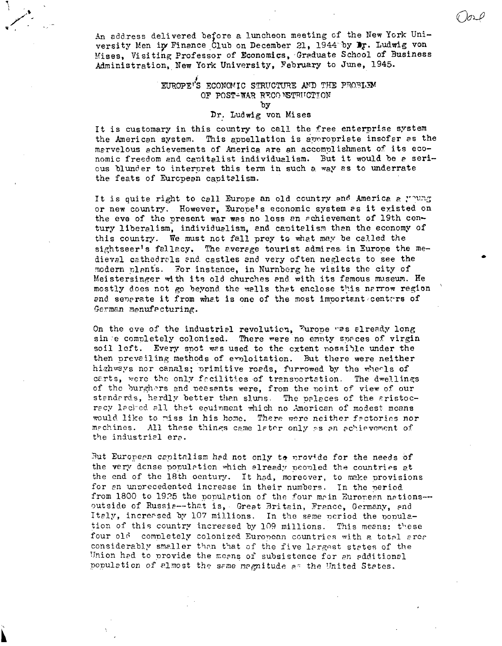An address delivered before a luncheon meeting of the New York University Men in Finance Club on December 21, 1944 by Dr. Ludwig von Mises. Visiting Professor of Economics, Graduate School of Business Administration, New York University, February to June, 1945.

## EUROPE'S ECONOMIC STRUCTURE AND THE PROBLEM OF POST-WAR RECONSTRUCTION  $by$

## Dr. Ludwig von Mises

It is customary in this country to call the free enterprise system the American system. This appellation is appropriate insofar as the marvelous achievements of America are an accomplishment of its economic freedom and capitalist individualism. But it would be a serious blunder to interpret this term in such a way as to underrate the feats of European capitalism.

It is quite right to call Europe an old country and America a proung or new country. However, Europe's economic system as it existed on the eve of the present war was no less an achievement of 19th century liberalism, individualism, and capitalism than the economy of this country. We must not fall prey to what may be called the sightseer's fallacy. The average tourist admires in Europe the medieval cathedrals and castles and very often neglects to see the modern plants. For instance, in Nurnberg he visits the city of Meistersinger with its old churches and with its famous museum. He mostly does not go beyond the wells that enclose this narrow region and separate it from what is one of the most important centers of German menufacturing.

On the eve of the industrial revolution, Furone was already long sin e completely colonized. There were no emoty spaces of virgin soil left. Every spot was used to the extent possible under the then prevailing methods of evoloitation. But there were neither highways nor canals; primitive roads, furrowed by the wheels of carts, were the only facilities of transportation. The dwellings of the burghers and peasants were, from the point of view of our standards, hardly better than slums. The palaces of the aristocracy lacked all that equinment which no American of modest means would like to miss in his home. There were neither factories nor machines. All these things came later only as an achievement of the industrial era.

But European capitalism had not only to provide for the needs of the very dense population which already peopled the countries at the end of the 18th century. It had, moreover, to make provisions for an unprecedented increase in their numbers. In the period from 1800 to 1925 the population of the four main European nations-outside of Russia--that is, Great Britain, France, Germany, and Italy, increased by 107 millions. In the same period the population of this country increased by 109 millions. This means: these four old completely colonized Euronean countries with a total area considerably smaller than that of the five largest states of the Union had to provide the means of subsistence for an additional population of almost the same magnitude as the United States.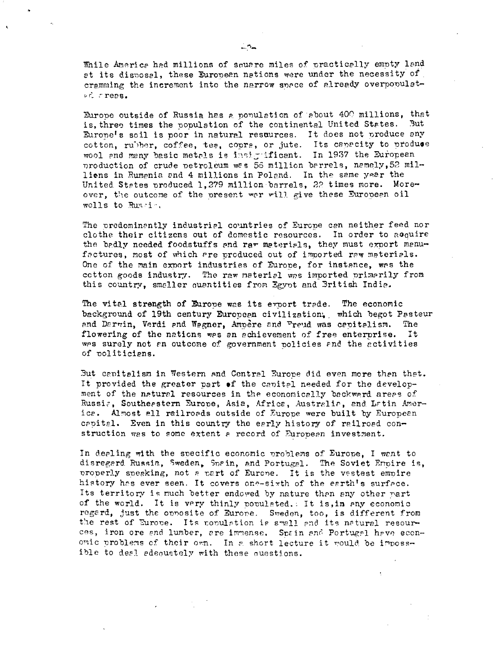While America had millions of square miles of practically empty land at its disposal, these European nations were under the necessity of cremming the increment into the narrow space of already overpopulated rreas.

Europe outside of Russia has a population of about 400 millions, that is, three times the population of the continental United States. But Europe's soil is poor in natural rescurces. It does not produce any cotton, rubber, coffee, tee, copre, or jute. Its capacity to produce wool and many basic metals is insighificant. In 1937 the European production of crude petroleum was 56 million barrels, namely, 52 milliens in Rumenia and 4 millions in Poland. In the same year the United States produced 1,279 million barrels, 22 times more. Moreover, the outcome of the present wer will give these European oil wells to Rushin.

The predominantly industrial countries of Europe can neither feed nor clothe their citizens out of domestic resources. In order to acquire the badly needed foodstuffs and raw materials, they must export menufactures, most of which are produced out of imported raw materials. One of the main export industries of Europe, for instance, was the ectton goods industry. The raw material was imported primarily from this country, smaller quantities from Egypt and British India.

The vital strength of Europe was its export trade. The economic background of 19th century European civilization, which begot Pasteur and Darwin, Verdi and Wagner, Ampère and Freud was capitalism. The. flowering of the nations was an achievement of free enterprise. It wes surely not an outcome of government policies and the activities of politicians.

But capitalism in Western and Central Europe did even more than that. It provided the greater part of the capital needed for the development of the natural resources in the economically backward areas of Russis, Southeestern Europe, Asia, Africa, Australia, and Latin Americe. Almost all railroads outside of Europe were built by European capital. Even in this country the early history of railroad construction was to some extent a record of European investment.

In dealing with the specific economic problems of Europe, I want to disregerd Russia, Sweden, Spain, and Portugal. The Soviet Empire is, properly speaking, not a part of Europe. It is the vestest empire history has ever seen. It covers one-sixth of the earth's surface. Its territory is much better endowed by nature then any other part of the world. It is very thinly populated. It is, in any economic regard, just the opposite of Europe. Sweden, too, is different from the rest of Europe. Its population is small and its natural resources, iron ore and lumber, are immense. Spain and Portugal have economic problems of their own. In a short lecture it would be impossible to deal adequately with these questions.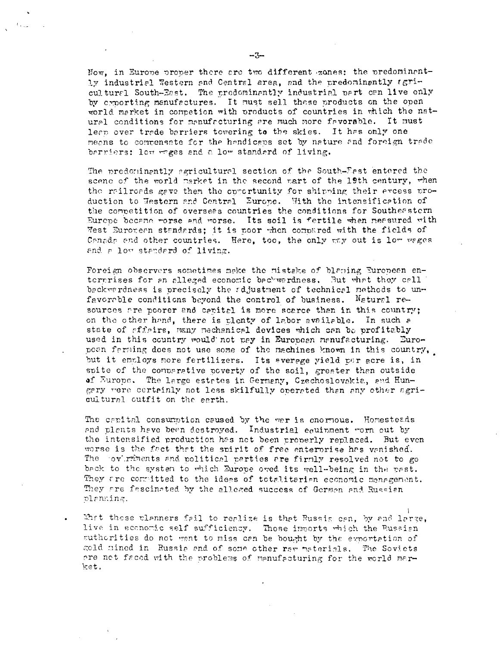Now, in Europe proper there are two different zones: the predominantly industrial Western and Central area, and the predominantly agricultural South-East. The predominantly industrial part can live only by exporting manufactures. It must sell these products on the open world merket in competion with products of countries in which the natural conditions for manufacturing are much more favorable. It must leap over trade barriers towering to the skies. It has only one meens to compensate for the handicaps set by nature and foreign trade berriers: low wages and a low standard of living.

The predominantly saricultural section of the South-Fast entered the scene of the world merket in the second mart of the 19th century, when the reilroeds gave them the concrtunity for shipping their excess production to Western and Central Europe. With the intensification of the competition of oversess countries the conditions for Southesstern Europe became worse and worse. Its soil is fertile when measured with West Eurorean standards; it is noor when compared with the fields of Cenade and other countries. Here, too, the only way out is low wages and a low standard of living.

Foreign observers sometimes meke the mistake of blaning European entermrises for an alleged economic backwardness. But what they call backwardness is precisely the adjustment of technical methods to unfavorable conditions beyond the control of business. Natural resources are poorer and capital is more scarce than in this country; on the other hand, there is rlenty of labor available. In such a state of affairs, many mechanical devices which can be profitably used in this country would not pay in European manufacturing. Europoen ferming does not use some of the machines known in this country, but it ennloys more fertilizers. Its evergge yield par acre is, in spite of the connerative poverty of the soil, greater than outside of Europe. The large estates in Germany, Czechoslovakia, and Hungary were certainly not less skilfully operated than any other agricultural cutfit on the earth.

The capital consumption caused by the war is cnormous. Homesteads and plants have been destroyed. Industrial equipment worn out by the intensified production has not been properly replaced. But even worse is the fact that the spirit of free enterprise has vanished. The covirmments and political parties are firmly resolved not to go back to the system to which Europe oved its well-being in the past. They are connitted to the ideas of totalitarian economic management. They are fascinated by the alleged success of German and Russian planning.

What these planners fail to realize is that Bussia can, by and large, live in economic self sufficiency. Those imports which the Russian suthorities do not went to miss can be bought by the exportation of gold mined in Russia and of some other raw materials. The Soviets are not faced with the problems of manufacturing for the world market.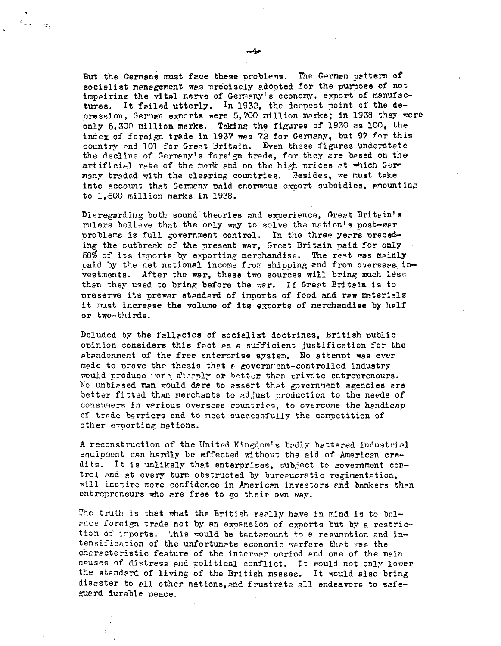But the Gernans must face these problems. The German pattern of socialist nanagement was precisely adopted for the purpose of not impeiring the vital nerve of Germany's economy, export of manufactures. It failed utterly. In 1932, the deepest point of the depression, German exports were 5,700 million marks; in 1938 they were only 5.300 million merks. Taking the figures of 1930 as 100, the index of foreign trade in 1937 was 72 for Germany, but 97 for this country and 101 for Great Britain. Even these figures understate the decline of Germany's foreign trade, for they are based on the artificial rate of the mark and on the high prices at which Germany traded with the clearing countries. Besides, we must take into account that Germany paid enormous export subsidies, amounting to 1.500 million marks in 1938.

Disregarding both sound theories and experience, Great Britein's rulers believe that the only way to solve the nation's post-war problems is full government control. In the three years preceding the outbreak of the present wer. Great Britain paid for only 58% of its innorts by exporting merchandise. The rest was mainly paid by the net national income from shipping and from overseas investments. After the war, these two sources will bring much less than they used to bring before the war. If Great Britain is to preserve its prewar standard of imports of food and rew materials it must increase the volume of its exports of merchandise by half or two-thirds.

Deluded by the fallecies of socialist doctrines, British public opinion considers this fact as a sufficient justification for the abandonment of the free enterprise system. No attempt was ever mede to prove the thesis that a government-controlled industry would produce wore cheeply or better than private entrepreneurs. No unbiased man would dare to assert that government agencies are better fitted than merchants to adjust production to the needs of consumers in various oversess countries, to overcome the handicap of trade barriers and to meet successfully the competition of other exporting nations.

A reconstruction of the United Kingdom's bedly battered industrial equipment can hardly be effected without the aid of American credits. It is unlikely that enterprises, subject to government control and at every turn obstructed by bureaucratic regimentation, will inspire more confidence in American investors and bankers than entrepreneurs who are free to go their own way.

The truth is that what the British really have in mind is to balance foreign trade not by an expansion of exports but by a restriction of imports. This would be tantamount to a resumption and intensification of the unfortunate economic warfare that was the characteristic feature of the intervar period and one of the main causes of distress and political conflict. It would not only lower. the standard of living of the British masses. It would also bring disaster to all other nations, and frustrate all endeavors to safeguard durable peace.

 $35 - 1$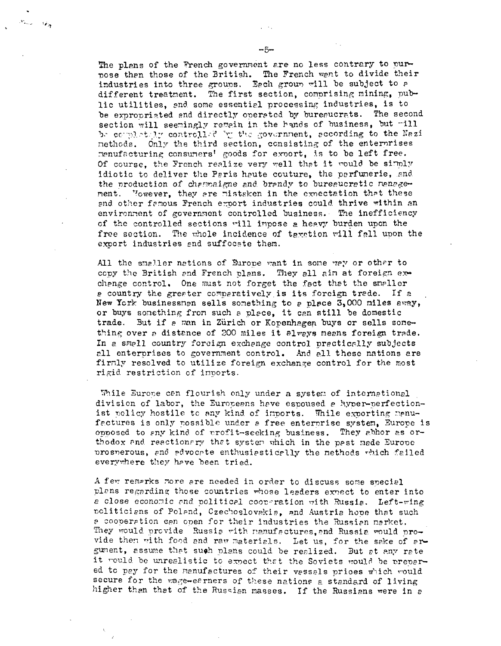The plans of the French government are no less contrary to purpose then those of the British. The French went to divide their industries into three groups. Each group will be subject to a different treatment. The first section, comprising mining, public utilities, and some essential processing industries, is to be expropriated and directly operated by bureaucrats. The second section will seemingly remain in the hands of business, but will be coupletely controlled by the government, according to the Nazi methods. Only the third section, consisting of the entermrises menufacturing consumers' goods for export, is to be left free. Of course, the French realize very well that it would be simply idiotic to deliver the Paris haute couture, the parfumerie, and the production of charmaigne and brandy to bureaucratic management. "owever, they are mistaken in the exnectation that these end other famous French export industries could thrive within an environment of government controlled business. The inefficiency of the controlled sections will impose a heavy burden upon the free section. The whole incidence of taxation will fall upon the export industries and suffocate them.

All the smaller nations of Europe want in some way or other to copy the British and French plans. They all ain at foreign exchange control. One must not forget the fact that the smaller e country the greater comparatively is its foreign trade. If a New York businessmen sells something to a place 3,000 miles away, or buys something from such a place, it can still be domestic trade. But if a man in Zürich or Kopenhagen buys or sells something over a distance of 200 miles it always means foreign trade. In a small country foreign exchange control practically subjects all enterprises to government control. And all these nations are firmly resolved to utilize foreign exchange control for the most rigid restriction of inports.

While Europe can flourish only under a system of international division of labor, the Europeans have espoused a hyper-perfectionist policy hostile to any kind of inports. While exporting menufactures is only possible under a free enterprise system, Europe is opposed to any kind of profit-seeking business. They abhor as orthodox and reactionary that system which in the past made Europe prosperous, and advocate enthusiastically the methods which failed everywhere they have been tried.

A few remarks more are needed in order to discuss some special plans regarding those countries whose leaders exnect to enter into a close economic and political cooperation with Russia. Left-wing politicians of Poland, Czechoslovakia, and Austria hope that such a cooperation can open for their industries the Russian market. They would provide Russia with nanufactures, and Russia would provide then with food and raw materials. Let us, for the sake of argunent, assume that such plans could be realized. But at any rate it rould be unrealistic to expect that the Soviets would be prepared to pay for the manufactures of their vassals prioes which would secure for the wage-earners of these nations a standard of living higher than that of the Russian masses. If the Russians were in a

 $\mathcal{M}_{\mathcal{H}}$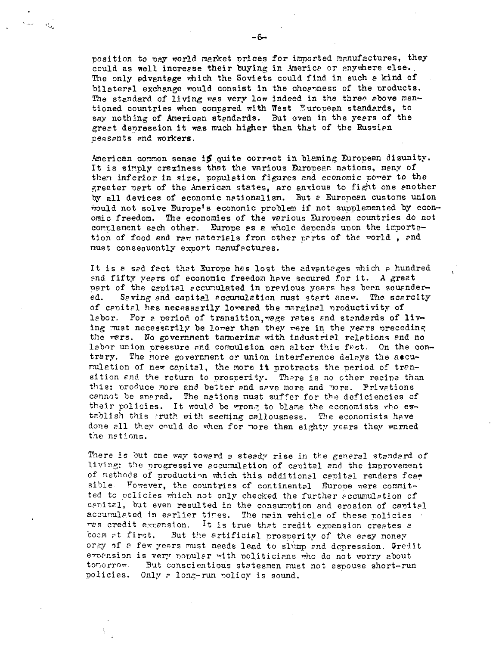position to pay world market prices for imported manufactures, they could as well increase their buying in America or anywhere else. The only adventage which the Soviets could find in such a kind of bilateral exchange would consist in the cheapness of the products. The standard of living was very low indeed in the three above mentioned countries when compared with West European standards, to say nothing of American standards. But even in the years of the great depression it was much higher than that of the Russian peasents and workers.

American common sense if quite correct in blaming European disunity. It is simply craziness that the various European nations, many of then inferior in size, population figures and economic power to the greater part of the American states, are anxious to fight one another by all devices of economic nationalism. But a Euronean customs union would not solve Europe's economic problem if not supplemented by economic freedom. The economies of the various European countries do not complement each other. Europe as a whole depends upon the importation of food and raw materials from other parts of the world, and nust consequently export manufactures.

It is a sad fact that Europe has lost the advantages which a hundred end fifty years of economic freedom have secured for it. A great part of the cepital accumulated in previous years has been souander-Saving and capital accumulation must start anew. The scarcity ed. of capital has necessarily lowered the marginal productivity of labor. For a period of transition, mage rates and standards of living must necessarily be lower then they were in the years preceding the wers. No government tampering with industrial relations and no labor union pressure and compulsion can alter this fact. On the contrary. The more government or union interference delays the accunulation of new capital, the more it protracts the period of transition and the return to prosperity. There is no other recipe than this: produce more and better and save more and more. Privations cannot be spared. The nations must suffer for the deficiencies of their policies. It would be wrong to blame the economists who establish this fruth with seeming callousness. The economists have done all they could do when for more than eighty years they warned the nations.

There is but one way toward a steady rise in the general standard of living: the progressive accumulation of capital and the improvement of methods of production which this additional capital renders feasible. However, the countries of continental Europe were committed to policies which not only checked the further accumulation of cepital, but even resulted in the consumption and erosion of capital accumulated in earlier times. The main vehicle of these policies res credit expension. It is true that credit expansion creates a boom at first. But the artificial prosperity of the easy money orgy of a few years must needs lead to slump and depression. Oredit eveension is very popular with politicians who do not worry about tonorrow. But conscientious statesmen must not espouse short-run policies. Only a long-run policy is sound.

 $\mathbf{u}_\text{c}$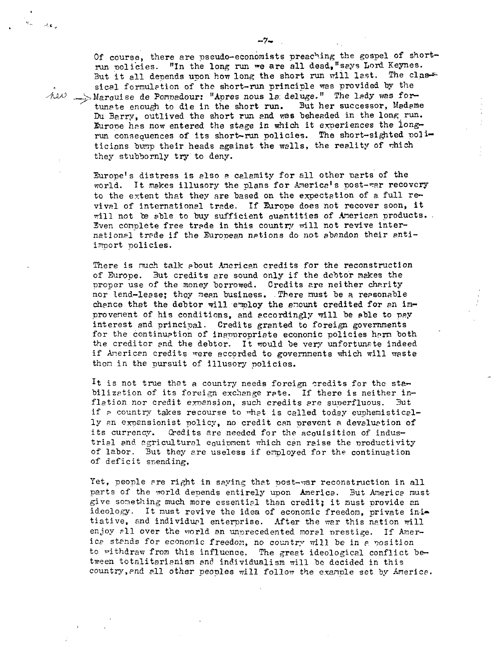Of course, there are pseudo-economists preaching the gospel of shortrun policies. "In the long run we are all dead, "says Lord Keynes. But it all depends upon how long the short run will last. The class sical formulation of the short-run principle was provided by the  $\land \dots$  Marquise de Ponpadour: "Apres nous la deluge." The lady was fortunate enough to die in the short run. But her successor, Madame Du Barry, outlived the short run and was beheaded in the long run. Europe has now entered the stage in which it experiences the longrun consequences of its short-run policies. The short-sighted politicians bump their heads against the walls, the reality of which they stubbornly try to deny.

> Europe's distress is also a calamity for all other parts of the world. It makes illusory the plans for America's post-mar recovery to the extent that they are based on the expectation of a full revival of international trade. If Europe does not recover soon, it will not be able to buy sufficient quantities of American products. Even complete free trade in this country will not revive international trade if the European nations do not abandon their antiimport policies.

There is much talk about American credits for the reconstruction of Europe. But credits are sound only if the debtor makes the proper use of the money borrowed. Credits are neither charity nor lend-lease; they mean business. There must be a reasonable chance that the debtor will emoloy the amount credited for an improvement of his conditions, and accordingly will be able to pay interest and principal. Credits granted to foreign governments for the continuation of inappropriate economic policies harm both the creditor and the debtor. It would be very unfortunate indeed if American credits were accorded to governments which will waste them in the pursuit of illusory policies.

It is not true that a country needs foreign credits for the stabilization of its foreign exchange rate. If there is neither inflation nor credit expansion, such credits are superfluous. But if a country takes recourse to what is called today euphemistically an expansionist policy, no credit can prevent a devaluation of its currency. Credits are needed for the acouisition of industrial and agricultural equipment which can raise the productivity of labor. But they are useless if employed for the continuation of deficit spending.

Yet, people are right in saying that post-war reconstruction in all parts of the world depends entirely upon America. But America must give something much more essential than credit; it must provide an ideology. It must revive the idea of economic freedom, private initiative, and individual enterprise. After the war this nation will enjoy all over the world an unprecedented moral prestige. If Americe stends for economic freedom, no country will be in a position to withdraw from this influence. The great ideological conflict between totalitarianism and individualism will be decided in this country, and all other peoples will follow the example set by America.

 $\mathcal{A}$  C  $_2$